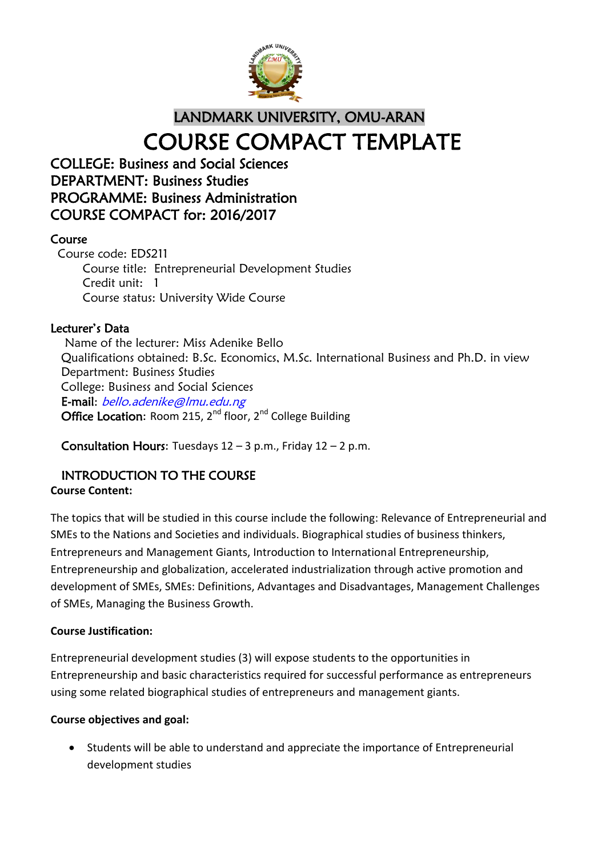

# LANDMARK UNIVERSITY, OMU-ARAN COURSE COMPACT TEMPLATE

# COLLEGE: Business and Social Sciences DEPARTMENT: Business Studies PROGRAMME: Business Administration COURSE COMPACT for: 2016/2017

# Course

Course code: EDS211 Course title: Entrepreneurial Development Studies Credit unit: 1 Course status: University Wide Course

# Lecturer's Data

 Name of the lecturer: Miss Adenike Bello Qualifications obtained: B.Sc. Economics, M.Sc. International Business and Ph.D. in view Department: Business Studies College: Business and Social Sciences E-mail: bello.adenike@lmu.edu.ng Office Location: Room 215,  $2^{nd}$  floor,  $2^{nd}$  College Building

**Consultation Hours:** Tuesdays  $12 - 3$  p.m., Friday  $12 - 2$  p.m.

# INTRODUCTION TO THE COURSE

# **Course Content:**

The topics that will be studied in this course include the following: Relevance of Entrepreneurial and SMEs to the Nations and Societies and individuals. Biographical studies of business thinkers, Entrepreneurs and Management Giants, Introduction to International Entrepreneurship, Entrepreneurship and globalization, accelerated industrialization through active promotion and development of SMEs, SMEs: Definitions, Advantages and Disadvantages, Management Challenges of SMEs, Managing the Business Growth.

#### **Course Justification:**

Entrepreneurial development studies (3) will expose students to the opportunities in Entrepreneurship and basic characteristics required for successful performance as entrepreneurs using some related biographical studies of entrepreneurs and management giants.

#### **Course objectives and goal:**

 Students will be able to understand and appreciate the importance of Entrepreneurial development studies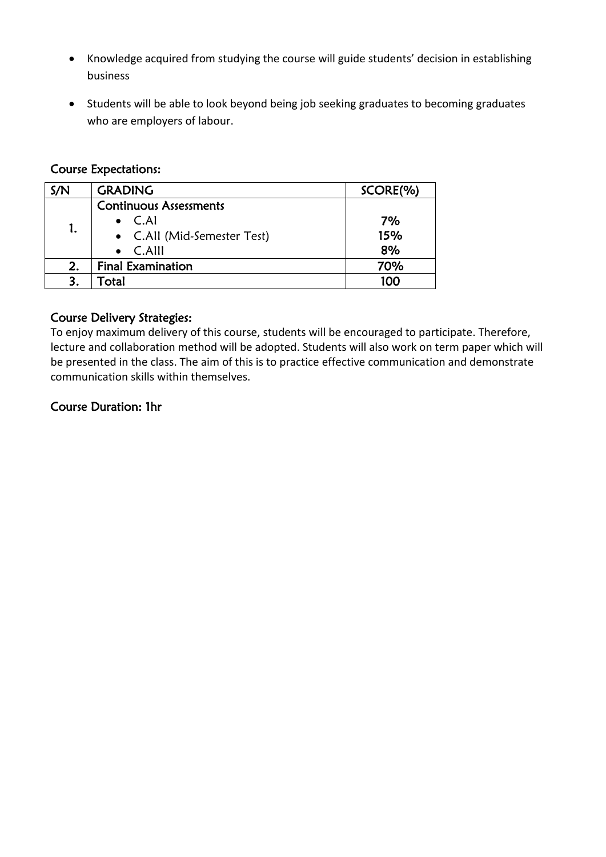- Knowledge acquired from studying the course will guide students' decision in establishing business
- Students will be able to look beyond being job seeking graduates to becoming graduates who are employers of labour.

## Course Expectations:

| S/N | <b>GRADING</b>                | SCORE(%) |
|-----|-------------------------------|----------|
| 1.  | <b>Continuous Assessments</b> |          |
|     | $\bullet$ C.AI                | 7%       |
|     | • C.All (Mid-Semester Test)   | 15%      |
|     | $\bullet$ C.Alll              | 8%       |
| 2.  | <b>Final Examination</b>      | 70%      |
|     | Гotal                         | 100      |

## Course Delivery Strategies:

To enjoy maximum delivery of this course, students will be encouraged to participate. Therefore, lecture and collaboration method will be adopted. Students will also work on term paper which will be presented in the class. The aim of this is to practice effective communication and demonstrate communication skills within themselves.

## Course Duration: 1hr